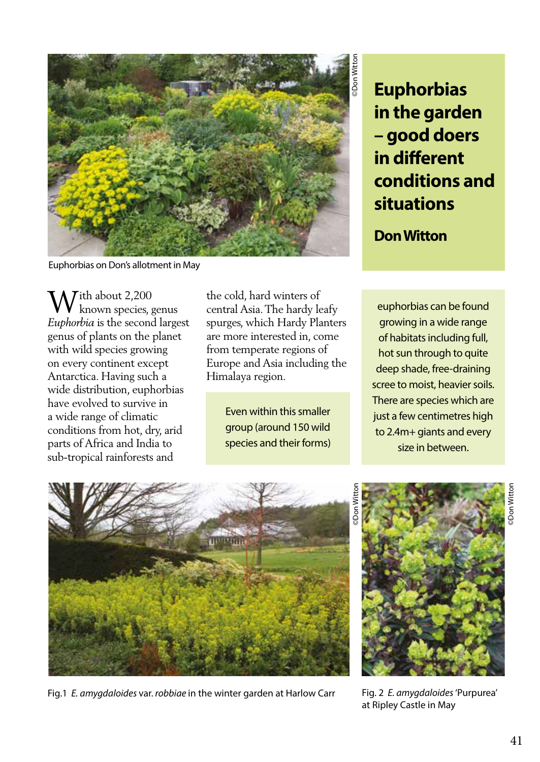

Euphorbias on Don's allotment in May

 $\bigvee$ ith about 2,200 known species, genus *Euphorbia* is the second largest genus of plants on the planet with wild species growing on every continent except Antarctica. Having such a wide distribution, euphorbias have evolved to survive in a wide range of climatic conditions from hot, dry, arid parts of Africa and India to sub-tropical rainforests and

the cold, hard winters of central Asia. The hardy leafy spurges, which Hardy Planters are more interested in, come from temperate regions of Europe and Asia including the Himalaya region.

> Even within this smaller group (around 150 wild species and their forms)

**Euphorbias in the garden – good doers in different conditions and situations**

**Don Witton**

euphorbias can be found growing in a wide range of habitats including full, hot sun through to quite deep shade, free-draining scree to moist, heavier soils. There are species which are just a few centimetres high to 2.4m+ giants and every size in between.



Fig.1 *E. amygdaloides* var. *robbiae* in the winter garden at Harlow Carr Fig. 2 *E. amygdaloides* 'Purpurea'



at Ripley Castle in May

©Don Witton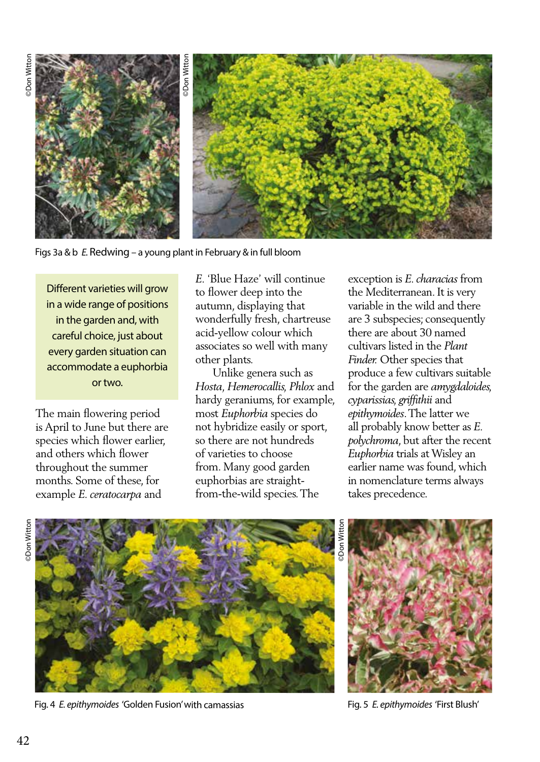

Figs 3a & b *E.* Redwing – a young plant in February & in full bloom

Different varieties will grow in a wide range of positions in the garden and, with careful choice, just about every garden situation can accommodate a euphorbia or two.

The main flowering period is April to June but there are species which flower earlier, and others which flower throughout the summer months. Some of these, for example *E. ceratocarpa* and

*E.* 'Blue Haze' will continue to flower deep into the autumn, displaying that wonderfully fresh, chartreuse acid-yellow colour which associates so well with many other plants.

 Unlike genera such as *Hosta, Hemerocallis, Phlox* and hardy geraniums, for example, most *Euphorbia* species do not hybridize easily or sport, so there are not hundreds of varieties to choose from. Many good garden euphorbias are straightfrom-the-wild species. The

exception is *E. characias* from the Mediterranean. It is very variable in the wild and there are 3 subspecies; consequently there are about 30 named cultivars listed in the *Plant Finder.* Other species that produce a few cultivars suitable for the garden are *amygdaloides, cyparissias, griffithii* and *epithymoides*. The latter we all probably know better as *E. polychroma*, but after the recent *Euphorbia* trials at Wisley an earlier name was found, which in nomenclature terms always takes precedence.



Fig. 4 *E. epithymoides* 'Golden Fusion' with camassias Fig. 5 *E. epithymoides* 'First Blush'

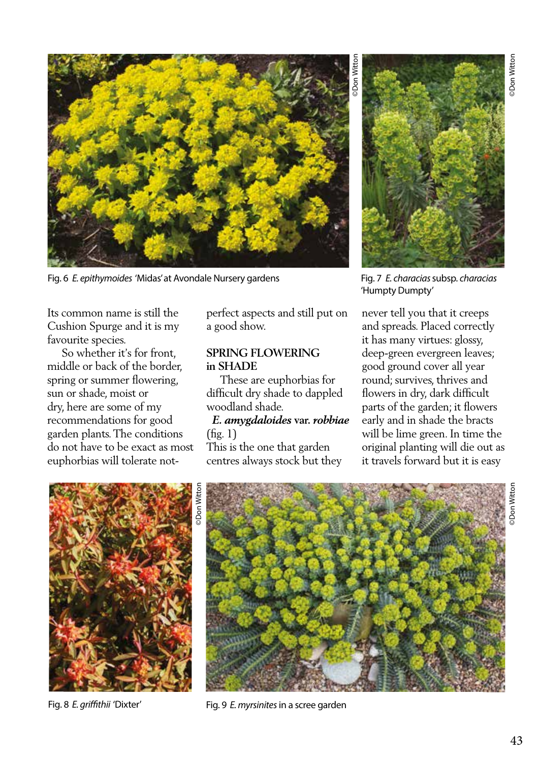

Fig. 6 *E. epithymoides* 'Midas' at Avondale Nursery gardens

Its common name is still the Cushion Spurge and it is my favourite species.

 So whether it's for front, middle or back of the border, spring or summer flowering, sun or shade, moist or dry, here are some of my recommendations for good garden plants. The conditions do not have to be exact as most euphorbias will tolerate notperfect aspects and still put on a good show.

### **SPRING FLOWERING in SHADE**

 These are euphorbias for difficult dry shade to dappled woodland shade.

 *E. amygdaloides* **var.** *robbiae* (fig. 1)

This is the one that garden centres always stock but they

Fig. 7 *E. characias* subsp. *characias*  'Humpty Dumpty'

never tell you that it creeps and spreads. Placed correctly it has many virtues: glossy, deep-green evergreen leaves; good ground cover all year round; survives, thrives and flowers in dry, dark difficult parts of the garden; it flowers early and in shade the bracts will be lime green. In time the original planting will die out as it travels forward but it is easy



Fig. 8 *E. griffithii* 'Dixter'



Fig. 9 *E. myrsinites* in a scree garden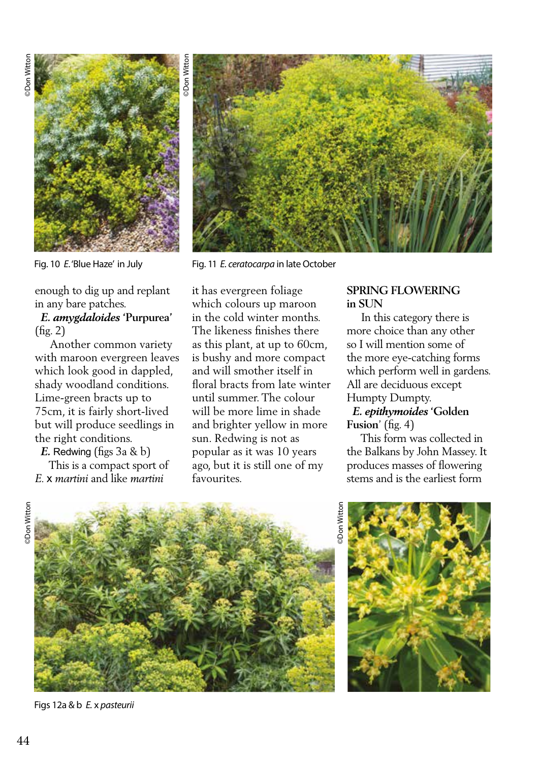

Fig. 10 *E*. 'Blue Haze' in July

enough to dig up and replant in any bare patches.

#### *E. amygdaloides* **'Purpurea'**  (fig. 2)

 Another common variety with maroon evergreen leaves which look good in dappled, shady woodland conditions. Lime-green bracts up to 75cm, it is fairly short-lived but will produce seedlings in the right conditions.

 *E.* Redwing (figs 3a & b)

 This is a compact sport of *E.* x *martini* and like *martini* 



Fig. 11 *E. ceratocarpa* in late October

it has evergreen foliage which colours up maroon in the cold winter months. The likeness finishes there as this plant, at up to 60cm, is bushy and more compact and will smother itself in floral bracts from late winter until summer. The colour will be more lime in shade and brighter yellow in more sun. Redwing is not as popular as it was 10 years ago, but it is still one of my favourites.

### **SPRING FLOWERING in SUN**

 In this category there is more choice than any other so I will mention some of the more eye-catching forms which perform well in gardens. All are deciduous except Humpty Dumpty.

#### *E. epithymoides* **'Golden Fusion**' (fig. 4)

 This form was collected in the Balkans by John Massey. It produces masses of flowering stems and is the earliest form



Figs 12a & b *E.* x *pasteurii* 

©Don Witton **Don Witt** 



**Don Witton**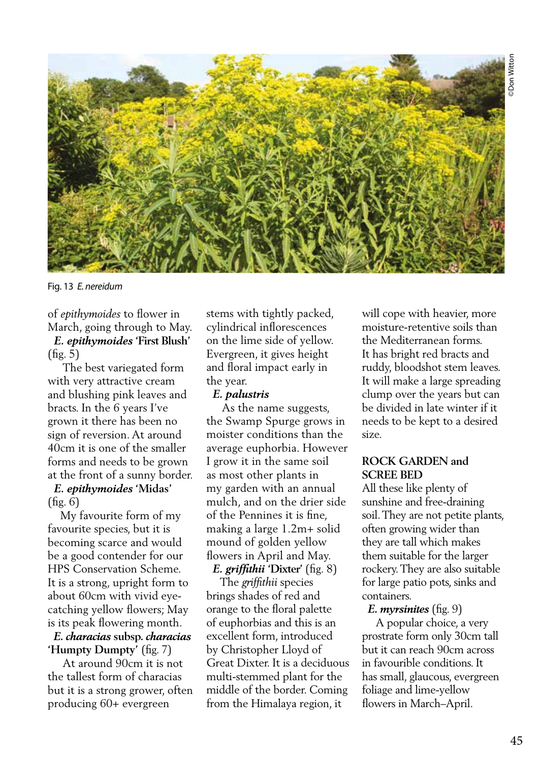

Fig. 13 *E. nereidum* 

of *epithymoides* to flower in March, going through to May.

 *E. epithymoides* **'First Blush'** (fig. 5)

 The best variegated form with very attractive cream and blushing pink leaves and bracts. In the 6 years I've grown it there has been no sign of reversion. At around 40cm it is one of the smaller forms and needs to be grown at the front of a sunny border.

# *E. epithymoides* **'Midas'**   $(f_1g, 6)$

 My favourite form of my favourite species, but it is becoming scarce and would be a good contender for our HPS Conservation Scheme. It is a strong, upright form to about 60cm with vivid eyecatching yellow flowers; May is its peak flowering month.

#### *E. characias* **subsp.** *characias*  **'Humpty Dumpty'** (fig. 7)

 At around 90cm it is not the tallest form of characias but it is a strong grower, often producing 60+ evergreen

stems with tightly packed, cylindrical inflorescences on the lime side of yellow. Evergreen, it gives height and floral impact early in the year.

## *E. palustris*

 As the name suggests, the Swamp Spurge grows in moister conditions than the average euphorbia. However I grow it in the same soil as most other plants in my garden with an annual mulch, and on the drier side of the Pennines it is fine, making a large 1.2m+ solid mound of golden yellow flowers in April and May.

 *E. griffithii* **'Dixter'** (fig. 8) The *griffithii* species brings shades of red and orange to the floral palette of euphorbias and this is an excellent form, introduced by Christopher Lloyd of Great Dixter. It is a deciduous multi-stemmed plant for the middle of the border. Coming from the Himalaya region, it

will cope with heavier, more moisture-retentive soils than the Mediterranean forms. It has bright red bracts and ruddy, bloodshot stem leaves. It will make a large spreading clump over the years but can be divided in late winter if it needs to be kept to a desired size.

## **ROCK GARDEN and SCREE BED**

All these like plenty of sunshine and free-draining soil. They are not petite plants, often growing wider than they are tall which makes them suitable for the larger rockery. They are also suitable for large patio pots, sinks and containers.

## *E. myrsinites* (fig. 9)

 A popular choice, a very prostrate form only 30cm tall but it can reach 90cm across in favourible conditions. It has small, glaucous, evergreen foliage and lime-yellow flowers in March–April.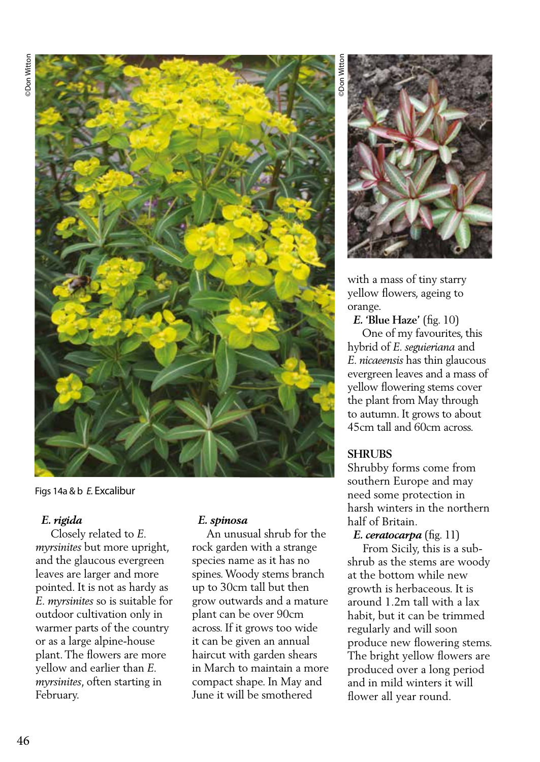

Figs 14a & b *E.* Excalibur

## *E. rigida*

 Closely related to *E. myrsinites* but more upright, and the glaucous evergreen leaves are larger and more pointed. It is not as hardy as *E. myrsinites* so is suitable for outdoor cultivation only in warmer parts of the country or as a large alpine-house plant. The flowers are more yellow and earlier than *E. myrsinites*, often starting in February.

#### *E. spinosa*

 An unusual shrub for the rock garden with a strange species name as it has no spines. Woody stems branch up to 30cm tall but then grow outwards and a mature plant can be over 90cm across. If it grows too wide it can be given an annual haircut with garden shears in March to maintain a more compact shape. In May and June it will be smothered

©Don Witton



with a mass of tiny starry yellow flowers, ageing to orange.

 *E.* **'Blue Haze'** (fig. 10)

 One of my favourites, this hybrid of *E. seguieriana* and *E. nicaeensis* has thin glaucous evergreen leaves and a mass of yellow flowering stems cover the plant from May through to autumn. It grows to about 45cm tall and 60cm across.

#### **SHRUBS**

Shrubby forms come from southern Europe and may need some protection in harsh winters in the northern half of Britain.

 *E. ceratocarpa* (fig. 11)

 From Sicily, this is a subshrub as the stems are woody at the bottom while new growth is herbaceous. It is around 1.2m tall with a lax habit, but it can be trimmed regularly and will soon produce new flowering stems. The bright yellow flowers are produced over a long period and in mild winters it will flower all year round.